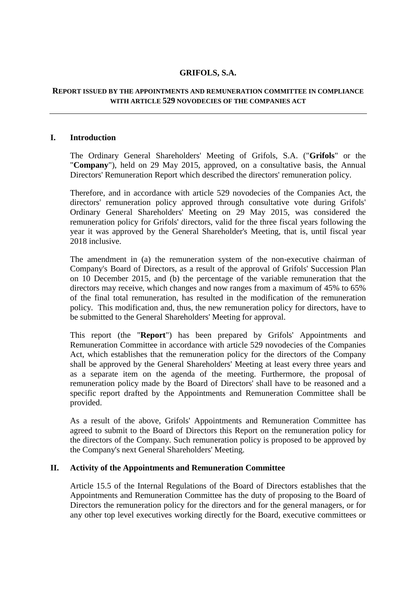# **GRIFOLS, S.A.**

### **REPORT ISSUED BY THE APPOINTMENTS AND REMUNERATION COMMITTEE IN COMPLIANCE WITH ARTICLE 529 NOVODECIES OF THE COMPANIES ACT**

### **I. Introduction**

The Ordinary General Shareholders' Meeting of Grifols, S.A. ("**Grifols**" or the "**Company**"), held on 29 May 2015, approved, on a consultative basis, the Annual Directors' Remuneration Report which described the directors' remuneration policy.

Therefore, and in accordance with article 529 novodecies of the Companies Act, the directors' remuneration policy approved through consultative vote during Grifols' Ordinary General Shareholders' Meeting on 29 May 2015, was considered the remuneration policy for Grifols' directors, valid for the three fiscal years following the year it was approved by the General Shareholder's Meeting, that is, until fiscal year 2018 inclusive.

The amendment in (a) the remuneration system of the non-executive chairman of Company's Board of Directors, as a result of the approval of Grifols' Succession Plan on 10 December 2015, and (b) the percentage of the variable remuneration that the directors may receive, which changes and now ranges from a maximum of 45% to 65% of the final total remuneration, has resulted in the modification of the remuneration policy. This modification and, thus, the new remuneration policy for directors, have to be submitted to the General Shareholders' Meeting for approval.

This report (the "**Report**") has been prepared by Grifols' Appointments and Remuneration Committee in accordance with article 529 novodecies of the Companies Act, which establishes that the remuneration policy for the directors of the Company shall be approved by the General Shareholders' Meeting at least every three years and as a separate item on the agenda of the meeting. Furthermore, the proposal of remuneration policy made by the Board of Directors' shall have to be reasoned and a specific report drafted by the Appointments and Remuneration Committee shall be provided.

As a result of the above, Grifols' Appointments and Remuneration Committee has agreed to submit to the Board of Directors this Report on the remuneration policy for the directors of the Company. Such remuneration policy is proposed to be approved by the Company's next General Shareholders' Meeting.

#### **II. Activity of the Appointments and Remuneration Committee**

Article 15.5 of the Internal Regulations of the Board of Directors establishes that the Appointments and Remuneration Committee has the duty of proposing to the Board of Directors the remuneration policy for the directors and for the general managers, or for any other top level executives working directly for the Board, executive committees or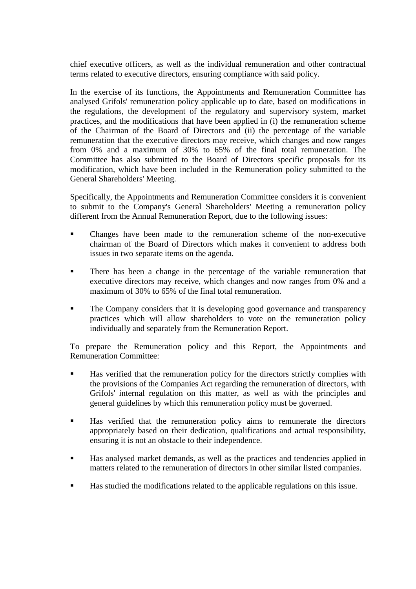chief executive officers, as well as the individual remuneration and other contractual terms related to executive directors, ensuring compliance with said policy.

In the exercise of its functions, the Appointments and Remuneration Committee has analysed Grifols' remuneration policy applicable up to date, based on modifications in the regulations, the development of the regulatory and supervisory system, market practices, and the modifications that have been applied in (i) the remuneration scheme of the Chairman of the Board of Directors and (ii) the percentage of the variable remuneration that the executive directors may receive, which changes and now ranges from 0% and a maximum of 30% to 65% of the final total remuneration. The Committee has also submitted to the Board of Directors specific proposals for its modification, which have been included in the Remuneration policy submitted to the General Shareholders' Meeting.

Specifically, the Appointments and Remuneration Committee considers it is convenient to submit to the Company's General Shareholders' Meeting a remuneration policy different from the Annual Remuneration Report, due to the following issues:

- Changes have been made to the remuneration scheme of the non-executive chairman of the Board of Directors which makes it convenient to address both issues in two separate items on the agenda.
- There has been a change in the percentage of the variable remuneration that executive directors may receive, which changes and now ranges from 0% and a maximum of 30% to 65% of the final total remuneration.
- The Company considers that it is developing good governance and transparency practices which will allow shareholders to vote on the remuneration policy individually and separately from the Remuneration Report.

To prepare the Remuneration policy and this Report, the Appointments and Remuneration Committee:

- Has verified that the remuneration policy for the directors strictly complies with the provisions of the Companies Act regarding the remuneration of directors, with Grifols' internal regulation on this matter, as well as with the principles and general guidelines by which this remuneration policy must be governed.
- Has verified that the remuneration policy aims to remunerate the directors appropriately based on their dedication, qualifications and actual responsibility, ensuring it is not an obstacle to their independence.
- Has analysed market demands, as well as the practices and tendencies applied in matters related to the remuneration of directors in other similar listed companies.
- Has studied the modifications related to the applicable regulations on this issue.